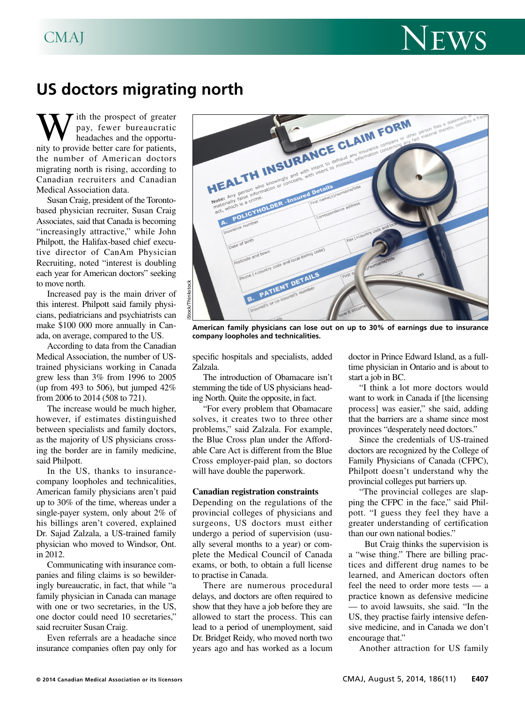

## **US doctors migrating north**

ith the prospect of greater pay, fewer bureaucratic headaches and the opportunity to provide better care for patients, the number of American doctors migrating north is rising, according to Canadian recruiters and Canadian Medical Association data.

Susan Craig, president of the Torontobased physician recruiter, Susan Craig Associates, said that Canada is becoming "increasingly attractive," while John Philpott, the Halifax-based chief executive director of CanAm Physician Recruiting, noted "interest is doubling each year for American doctors" seeking to move north.

Increased pay is the main driver of this interest. Philpott said family physicians, pediatricians and psychiatrists can make \$100 000 more annually in Canada, on average, compared to the US.

According to data from the Canadian Medical Association, the number of UStrained physicians working in Canada grew less than 3% from 1996 to 2005 (up from 493 to 506), but jumped  $42\%$ from 2006 to 2014 (508 to 721).

The increase would be much higher, however, if estimates distinguished between specialists and family doctors, as the majority of US physicians crossing the border are in family medicine, said Philpott.

In the US, thanks to insurancecompany loopholes and technicalities, American family physicians aren't paid up to 30% of the time, whereas under a single-payer system, only about 2% of his billings aren't covered, explained Dr. Sajad Zalzala, a US-trained family physician who moved to Windsor, Ont. in 2012.

Communicating with insurance companies and filing claims is so bewilderingly bureaucratic, in fact, that while "a family physician in Canada can manage with one or two secretaries, in the US, one doctor could need 10 secretaries," said recruiter Susan Craig.

Even referrals are a headache since insurance companies often pay only for



**American family physicians can lose out on up to 30% of earnings due to insurance company loopholes and technicalities.**

specific hospitals and specialists, added Zalzala.

The introduction of Obamacare isn't stemming the tide of US physicians heading North. Quite the opposite, in fact.

"For every problem that Obamacare solves, it creates two to three other problems," said Zalzala. For example, the Blue Cross plan under the Affordable Care Act is different from the Blue Cross employer-paid plan, so doctors will have double the paperwork.

## **Canadian registration constraints**

Depending on the regulations of the provincial colleges of physicians and surgeons, US doctors must either undergo a period of supervision (usually several months to a year) or complete the Medical Council of Canada exams, or both, to obtain a full license to practise in Canada.

There are numerous procedural delays, and doctors are often required to show that they have a job before they are allowed to start the process. This can lead to a period of unemployment, said Dr. Bridget Reidy, who moved north two years ago and has worked as a locum

doctor in Prince Edward Island, as a fulltime physician in Ontario and is about to start a job in BC.

"I think a lot more doctors would want to work in Canada if [the licensing process] was easier," she said, adding that the barriers are a shame since most provinces "desperately need doctors."

Since the credentials of US-trained doctors are recognized by the College of Family Physicians of Canada (CFPC), Philpott doesn't understand why the provincial colleges put barriers up.

"The provincial colleges are slapping the CFPC in the face," said Philpott. "I guess they feel they have a greater understanding of certification than our own national bodies."

 But Craig thinks the supervision is a "wise thing." There are billing practices and different drug names to be learned, and American doctors often feel the need to order more tests — a practice known as defensive medicine — to avoid lawsuits, she said. "In the US, they practise fairly intensive defensive medicine, and in Canada we don't encourage that."

Another attraction for US family